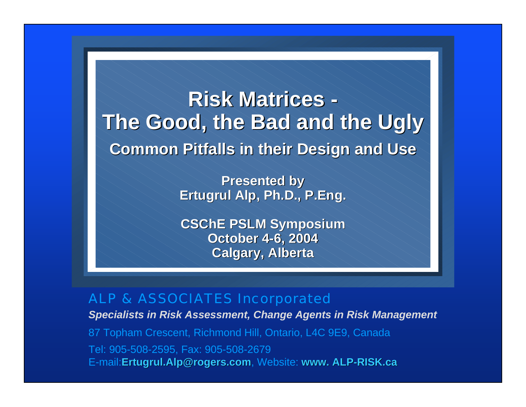**Risk Matrices -The Good, the Bad and the Ugly The Good, the Bad and the Ugly Common Pitfalls in their Design and Use Common Pitfalls in their Design and Use**

> **Presented by Presented by Ertugrul Alp, Ph.D., P.Eng. Ertugrul Alp, Ph.D., P.Eng.**

> **CSChE PSLM Symposium October 4 October 4-6, 2004 6, 2004 Calgary, Alberta Calgary, Alberta**

#### ALP & ASSOCIATES Incorporated

*Specialists in Risk Assessment, Change Agents in Risk Management*

87 Topham Crescent, Richmond Hill, Ontario, L4C 9E9, Canada Tel: 905-508-2595, Fax: 905-508-2679 E-mail:**Ertugrul.Alp@rogers.com**, Website: **www. ALP www. ALP-RISK.ca RISK.ca**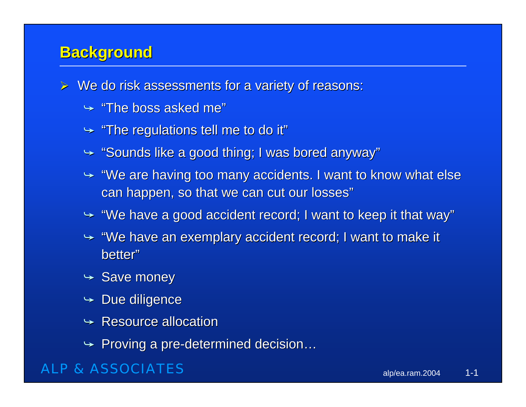### **Background Background**

- $\triangleright$  We do risk assessments for a variety of reasons:
	- $\blacktriangleright$  "The boss asked me"
	- $\rightarrow$  "The regulations tell me to do it"
	- $\blacktriangleright$  "Sounds like a good thing; I was bored anyway"
	- $\rightarrow$  "We are having too many accidents. I want to know what else can happen, so that we can cut our losses"
	- $\rightarrow$  "We have a good accident record; I want to keep it that way"
	- $\rightarrow$  "We have an exemplary accident record; I want to make it better"
	- $\blacktriangleright$  Save money
	- $\div$  Due diligence
	- $\rightarrow$  Resource allocation
	- $\rightarrow$  Proving a pre-determined decision…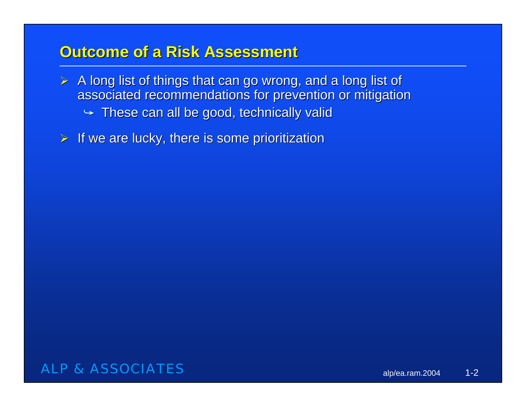### **Outcome of a Risk Assessment Outcome of a Risk Assessment**

- $\triangleright$  A long list of things that can go wrong, and a long list of associated recommendations for prevention or mitigation  $\blacktriangleright$  These can all be good, technically valid
- $\triangleright$  If we are lucky, there is some prioritization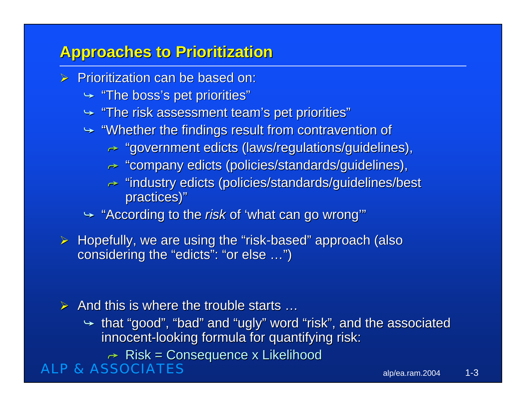# **Approaches to Prioritization Approaches to Prioritization**

- $\triangleright$  Prioritization can be based on:
	- $\blacktriangleright$  "The boss's pet priorities"
	- $\rightarrow$  "The risk assessment team's pet priorities"
	- $\rightarrow$  "Whether the findings result from contravention of
		- $\rightarrow$  "government edicts (laws/regulations/guidelines),
		- $\bm{\mathord{\succ}}$  "company edicts (policies/standards/guidelines),
		- $\rightarrow$  "industry edicts (policies/standards/guidelines/best practices)"
	- $\rightarrow$  "According to the *risk* of 'what can go wrong'"
- $\triangleright$  Hopefully, we are using the "risk-based" approach (also considering the "edicts": "or else ...")

#### $\triangleright$  And this is where the trouble starts ...

- $\rightarrow$  that "good", "bad" and "ugly" word "risk", and the associated innocent-looking formula for quantifying risk:
	- $\rightarrow$  Risk = Consequence x Likelihood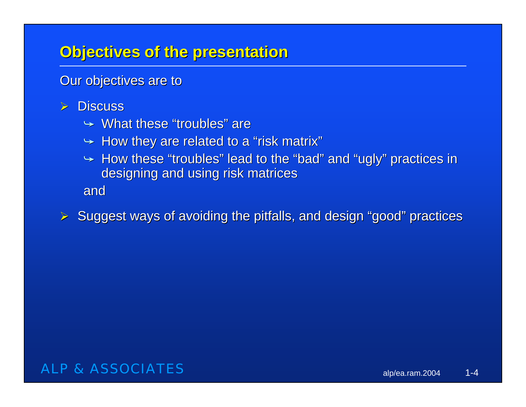# **Objectives of the presentation Objectives of the presentation**

Our objectives are to

- $\triangleright$  Discuss
	- $\rightarrow$  What these "troubles" are
	- $\leftrightarrow$  How they are related to a "risk matrix"
	- $\rightarrow$  How these "troubles" lead to the "bad" and "ugly" practices in designing and using risk matrices

and

 $\triangleright$  Suggest ways of avoiding the pitfalls, and design "good" practices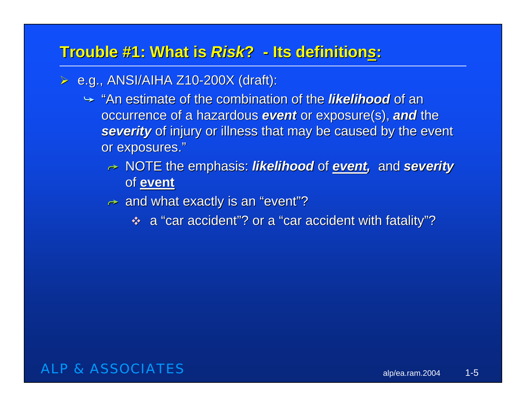### **Trouble #1: What is Risk? - Its definitions:**

- $\triangleright$  e.g., ANSI/AIHA Z10-200X (draft):
	- $\rightarrow$  "An estimate of the combination of the *likelihood* of an occurrence of a hazardous **event** or exposure(s), and the **severity** of injury or illness that may be caused by the event or exposures."
		- $\rightarrow$  NOTE the emphasis: *likelihood* of <u>event</u>, and severity of **event**
		- $\rightarrow \,$  and what exactly is an "event"?
			- $\bullet$  a "car accident"? or a "car accident with fatality"?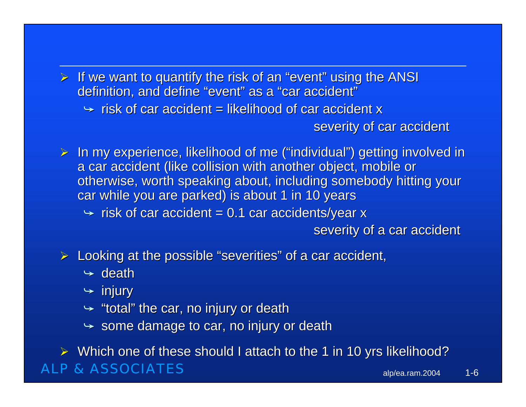$\triangleright$  If we want to quantify the risk of an "event" using the ANSI definition, and define "event" as a "car accident"

 $\rightarrow$  risk of car accident = likelihood of car accident x

severity of car accident

 $\triangleright$  In my experience, likelihood of me ("individual") getting involved in a car accident (like collision with another object, mobile or otherwise, worth speaking about, including somebody hitting your car while you are parked) is about 1 in 10 years

 $\leftrightarrow$  risk of car accident = 0.1 car accidents/year x

severity of a car accident

 $\triangleright$  Looking at the possible "severities" of a car accident,

 $\rightarrow$  death

 $\blacktriangleright$  injury

 $\rightarrow$  "total" the car, no injury or death

 $\rightarrow \,$  some damage to car, no injury or death

ALP & ASSOCIATES $\triangleright$  Which one of these should I attach to the 1 in 10 yrs likelihood?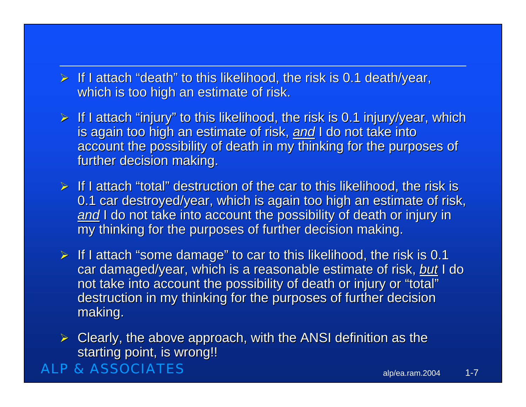- $\triangleright$  If I attach "death" to this likelihood, the risk is 0.1 death/year, which is too high an estimate of risk.
- $\triangleright$  If I attach "injury" to this likelihood, the risk is 0.1 injury/year, which is again too high an estimate of risk, and I do not take into account the possibility of death in my thinking for the purposes of further decision making.
- $\triangleright$  If I attach "total" destruction of the car to this likelihood, the risk is 0.1 car destroyed/year, which is again too high an estimate of risk, <u>a*nd*</u> I do not take into account the possibility of death or injury in my thinking for the purposes of further decision making.
- $\triangleright$  If I attach "some damage" to car to this likelihood, the risk is 0.1 car damaged/year, which is a reasonable estimate of risk, but I do not take into account the possibility of death or injury or "total" destruction in my thinking for the purposes of further decision making.
- $\triangleright$  Clearly, the above approach, with the ANSI definition as the starting point, is wrong!!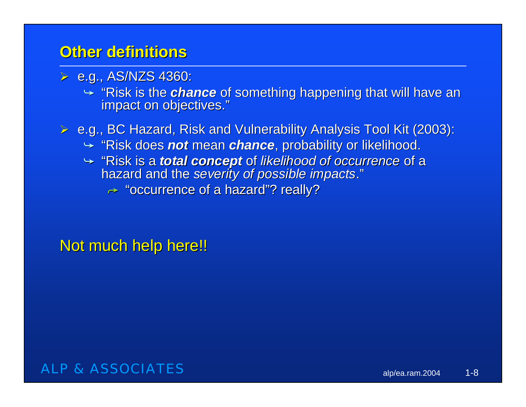- $\triangleright$  e.g., AS/NZS 4360:
	- $\rightarrow$  "Risk is the *chance* of something happening that will have an impact on objectives."
- $\triangleright$  e.g., BC Hazard, Risk and Vulnerability Analysis Tool Kit (2003):
	- $\blacktriangleright$  "Risk does *not* mean *chance*, probability or likelihood.
	- → "Risk is a *total concept* of *likelihood of occurrence* of a<br>hazard and the *severity of possible impacts*."
		- $\rightarrow$  "occurrence of a hazard"? really?

Not much help here!!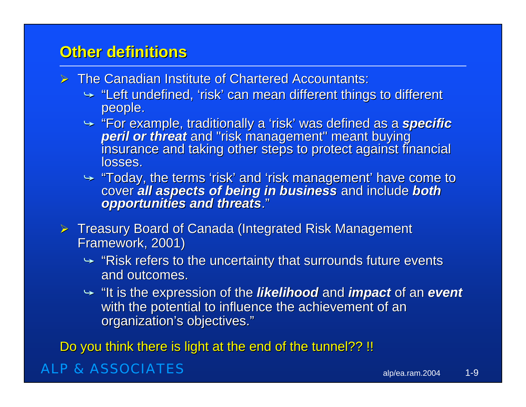- $\triangleright$  The Canadian Institute of Chartered Accountants:
	- $\rightarrow$  "Left undefined, 'risk' can mean different things to different people.
	- For example, traditionally a 'risk' was defined as a specific peril or threat and "risk management" meant buying<br>insurance and taking other steps to protect against financial<br>losses.
	- $\rightarrow$  "Today, the terms 'risk' and 'risk management' have come to cover *all aspects of being in business* and include *both* opportunities and threats."
- $\triangleright$  Treasury Board of Canada (Integrated Risk Management Framework, 2001) Framework, 2001)
	- $\rightarrow$  "Risk refers to the uncertainty that surrounds future events  $\overline{\phantom{a}}$ and outcomes.
	- $\rightarrow$  "It is the expression of the *likelihood* and *impact* of an event with the potential to influence the achievement of an organization's objectives."

Do you think there is light at the end of the tunnel?? !!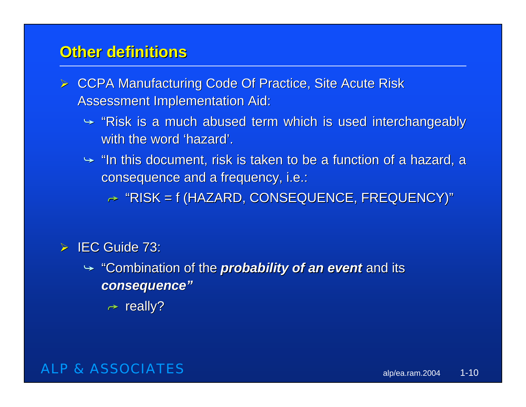- ► CCPA Manufacturing Code Of Practice, Site Acute Risk Assessment Implementation Aid:
	- $\rightarrow$  "Risk is a much abused term which is used interchangeably with the word 'hazard'.
	- $\rightarrow$  "In this document, risk is taken to be a function of a hazard, a consequence and a frequency, i.e.:

 $\rightarrow$  "RISK = f (HAZARD, CONSEQUENCE, FREQUENCY)"

#### $\triangleright$  IEC Guide 73:

- $\rightarrow$  "Combination of the *probability of an event* and its *consequence" consequence"*
	- $\rightarrow$  really?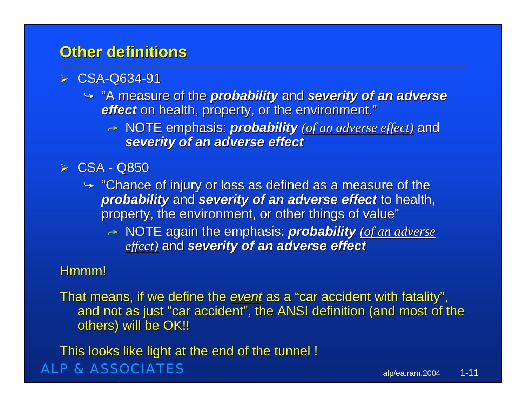#### ¾ CSA-Q634-91

- $\rightarrow$  "A measure of the *probability* and *severity of an adverse effect* on health, property, or the environment."
	- $\rightarrow$  NOTE emphasis: *probability <u>(of an adverse effect)</u> and severity severity of an adverse effect of an adverse effect*

#### $\triangleright$  CSA - Q850

- $\rightarrow$  "Chance of injury or loss as defined as a measure of the **probability** and **severity of an adverse effect** to health, property, the environment, or other things of value"
	- $→$  NOTE again the emphasis: *probability <u>(of an adverse</u> (of an adverse ) effect)* and *severity* of an adverse effect

#### Hmmm!

That means, if we define the *event* as a "car accident with fatality", and not as just "car accident", the ANSI definition (and most of the others) will be OK!!

ALP & ASSOCIATESThis looks like light at the end of the tunnel !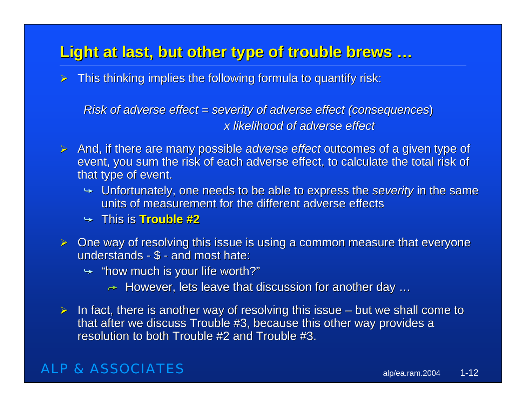# **Light at last, but other type of trouble brews … Light at last, but other type of trouble brews …**

 $\triangleright$  This thinking implies the following formula to quantify risk:

*Risk of adverse effect = severity of adverse effect (consequences) x likelihood of adverse effect x likelihood of adverse effect* 

- **≻** And, if there are many possible *adverse effect* outcomes of a given type of event, you sum the risk of each adverse effect, to calculate the total risk of that type of event.
	- $\rightarrow$  Unfortunately, one needs to be able to express the *severity* in the same units of measurement for the different adverse effects
	- $\rightarrow$  This is Trouble #2
- $\triangleright$  One way of resolving this issue is using a common measure that everyone understands -  $$$  - and most hate:
	- $\rightarrow$  "how much is your life worth?"
		- $\rightarrow$   $\,$  However, lets leave that discussion for another day  $\ldots$
- $\triangleright$  In fact, there is another way of resolving this issue but we shall come to that after we discuss Trouble #3, because this other way provides a resolution to both Trouble  $#2$  and Trouble  $#3$ .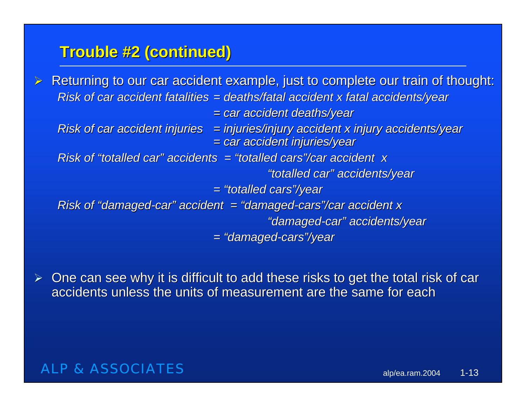### **Trouble #2 (continued) Trouble #2 (continued)**

 $\geq$ Returning to our car accident example, just to complete our train of thought: *Risk of car accident fatalities = deaths/fatal accident x fatal accidents/year = car accident deaths/year = car accident deaths/year Risk of car accident injuries = injuries/injury accident x injury accidents/year = car accident injuries/year = car accident injuries/year Risk of "totalled car" accidents = "totalled cars"/car accident Risk of "totalled car" = "totalled cars"/car accident x "totalled car" accidents/year "totalled car" accidents/year <sup>=</sup>"totalled cars"/year <sup>=</sup>"totalled cars"/year Risk of "damaged-car" accident = "damaged-cars"/car accident x "damaged "damaged-car" accidents/year car" accidents/year <sup>=</sup>"damaged <sup>=</sup>"damaged-cars"/year cars"/year*

¾One can see why it is difficult to add these risks to get the total risk of car accidents unless the units of measurement are the same for each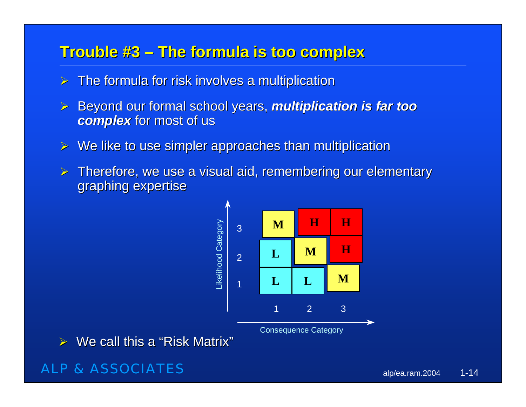### **Trouble #3 Trouble #3 – The formula is too complex The formula is too complex**

- $\triangleright$  The formula for risk involves a multiplication
- ¾Beyond our formal school years, *multiplication is far too* **complex** for most of us
- $\triangleright$  We like to use simpler approaches than multiplication
- $\blacktriangleright$ Therefore, we use a visual aid, remembering our elementary graphing expertise



 $\triangleright$  We call this a "Risk Matrix"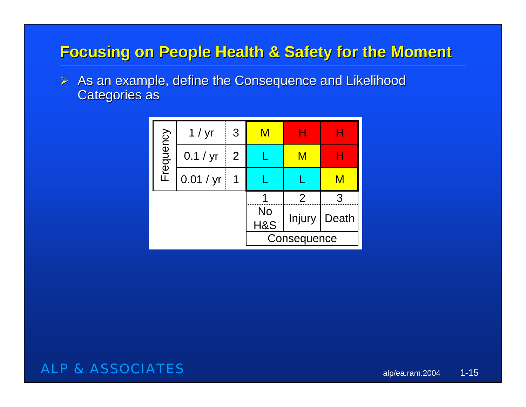# **Focusing on People Health & Safety for the Moment Focusing on People Health & Safety for the Moment**

 $\triangleright$  As an example, define the Consequence and Likelihood **Categories as** 

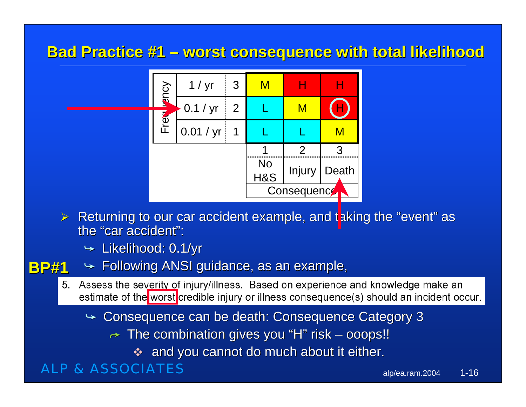### **Bad Practice #1 – worst consequence with total likelihood**



- $\triangleright$  Returning to our car accident example, and taking the "event" as the "car accident":
	- $\blacktriangleright$  Likelihood: 0.1/yr

#### $\blacktriangleright$  Following ANSI guidance, as an example, **BP#1**

- 5. Assess the severity of injury/illness. Based on experience and knowledge make an estimate of the worst credible injury or illness consequence(s) should an incident occur.
	- $\rightarrow$  Consequence can be death: Consequence Category 3
		- $\rightarrow \,$  The combination gives you "H" risk ooops!!
			- $\clubsuit$  and you cannot do much about it either.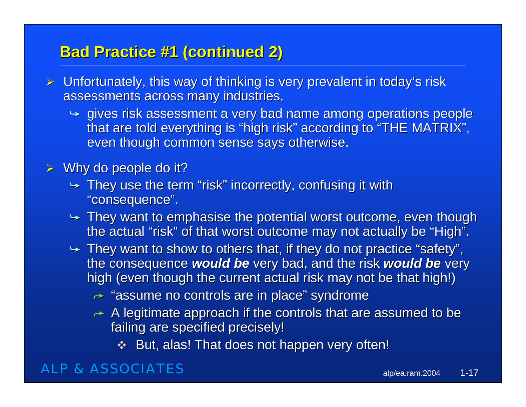# **Bad Practice #1 (continued 2) Bad Practice #1 (continued 2)**

- $\triangleright$  Unfortunately, this way of thinking is very prevalent in today's risk assessments across many industries,
	- $\rightarrow$  gives risk assessment a very bad name among operations people that are told everything is "high risk" according to "THE MATRIX", even though common sense says otherwise.

#### $\triangleright$  Why do people do it?

- $\rightarrow$  They use the term "risk" incorrectly, confusing it with "consequence".
- $\rightarrow$  They want to emphasise the potential worst outcome, even though the actual "risk" of that worst outcome may not actually be "High".
- $\rightarrow$  They want to show to others that, if they do not practice "safety", the consequence **would be** very bad, and the risk **would be** very high (even though the current actual risk may not be that high!)
	- $\rightarrow$  "assume no controls are in place" syndrome
	- $\rightarrow$  A legitimate approach if the controls that are assumed to be failing are specified precisely!
		- $\clubsuit$  But, alas! That does not happen very often!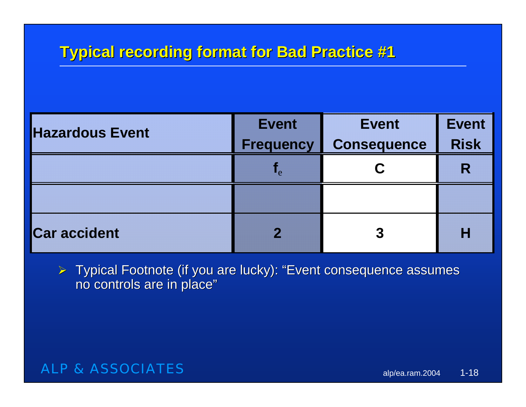# **Typical recording format for Bad Practice #1 Typical recording format for Bad Practice #1**

| <b>Hazardous Event</b> | <b>Event</b><br><b>Frequency</b>                    | <b>Event</b><br><b>Consequence</b> | <b>Event</b><br><b>Risk</b> |
|------------------------|-----------------------------------------------------|------------------------------------|-----------------------------|
|                        | $\overline{\phantom{a}}$ . $\overline{\phantom{a}}$ |                                    | R                           |
|                        |                                                     |                                    |                             |
| <b>Car accident</b>    |                                                     |                                    |                             |

 $\triangleright$  Typical Footnote (if you are lucky): "Event consequence assumes no controls are in place"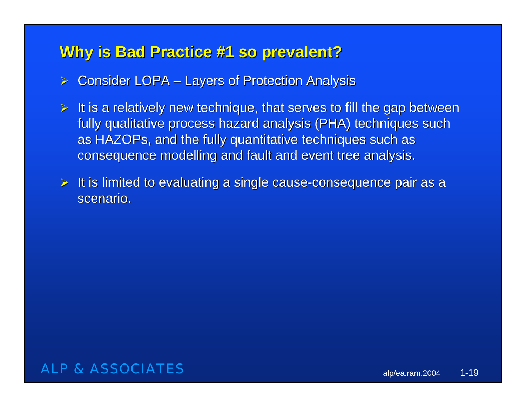# **Why is Bad Practice #1 so prevalent? Why is Bad Practice #1 so prevalent?**

- $\triangleright$  Consider LOPA Layers of Protection Analysis
- $\triangleright$  It is a relatively new technique, that serves to fill the gap between fully qualitative process hazard analysis (PHA) techniques such as HAZOPs, and the fully quantitative techniques such as , consequence modelling and fault and event tree analysis.
- $\triangleright$  It is limited to evaluating a single cause-consequence pair as a scenario.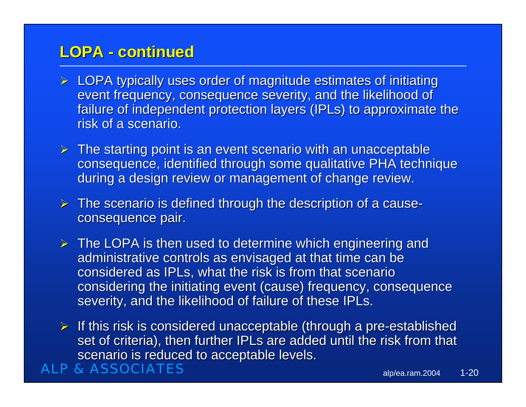### **LOPA - continued continued**

- $\triangleright$  LOPA typically uses order of magnitude estimates of initiating event frequency, consequence severity, and the likelihood of failure of independent protection layers (IPLs) to approximate the risk of a scenario.
- $\triangleright$  The starting point is an event scenario with an unacceptable consequence, identified through some qualitative PHA technique during a design review or management of change review.
- $\triangleright$  The scenario is defined through the description of a causeconsequence pair.
- $\triangleright$  The LOPA is then used to determine which engineering and administrative controls as envisaged at that time can be considered as IPLs, what the risk is from that scenario , considering the initiating event (cause) frequency, consequence severity, and the likelihood of failure of these IPLs.
- $\triangleright$  If this risk is considered unacceptable (through a pre-established set of criteria), then further IPLs are added until the risk from that scenario is reduced to acceptable levels.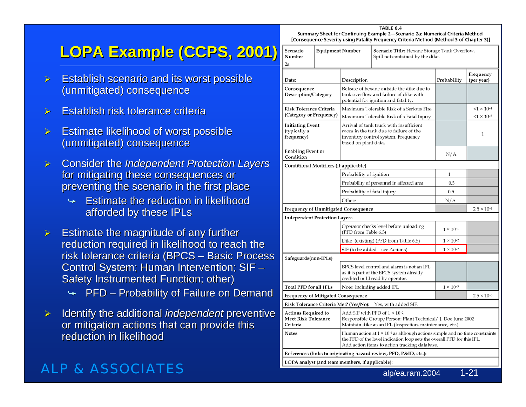# **LOPA Example (CCPS, 2001) LOPA Example (CCPS, 2001)**

- $\blacktriangleright$ Establish scenario and its worst possible (unmitigated) consequence (unmitigated) consequence
- $\blacktriangleright$ **Establish risk tolerance criteria**
- ¾ Estimate likelihood of worst possible Estimate likelihood of worst possible (unmitigated) consequence (unmitigated) consequence
- $\blacktriangleright$ **Consider the Independent Protection Layers** for mitigating these consequences or preventing the scenario in the first place
	- $\rightarrow$  Estimate the reduction in likelihood afforded by these IPLs
- $\blacktriangleright$ Estimate the magnitude of any further reduction required in likelihood to reach the risk tolerance criteria (BPCS – Basic Process Control System; Human Intervention; SIF – Safety Instrumented Function; other)
	- $\rightarrow$  PFD Probability of Failure on Demand
- $\blacktriangleright$ Identify the additional *independent* preventive or mitigation actions that can provide this reduction in likelihood

#### ALP & ASSOCIATES

[Consequence Severity using Fatality Frequency Criteria Method (Method 3 of Chapter 3)] Scenario **Equipment Number** Scenario Title: Hexane Storage Tank Overflow. Number Spill not contained by the dike.  $2a$ Frequency Date: Description Probability (per year) Consequence Release of hexane outside the dike due to Description/Category tank overflow and failure of dike with potential for ignition and fatality. **Risk Tolerance Criteria** Maximum Tolerable Risk of a Serious Fire  $< 1 \times 10^{-4}$ (Category or Frequency)  $< 1 \times 10^{-5}$ Maximum Tolerable Risk of a Fatal Injury **Initiating Event** Arrival of tank truck with insufficient (typically a room in the tank due to failure of the  $\mathbf{1}$ frequency) inventory control system. Frequency based on plant data. **Enabling Event or**  $N/A$ Condition Conditional Modifiers (if applicable) Probability of ignition  $\mathbf{1}$ Probability of personnel in affected area  $0.5$ Probability of fatal injury  $0.5$ Others  $N/A$ Frequency of Unmitigated Consequence  $2.5 \times 10^{-1}$ **Independent Protection Layers** Operator checks level before unloading  $1 \times 10^{-1}$ (PFD from Table 6.3) Dike (existing) (PFD from Table 6.5)  $1 \times 10^{-2}$ SIF (to be added - see Actions)  $1 \times 10^{-2}$ Safeguards(non-IPLs) BPCS level control and alarm is not an IPL as it is part of the BPCS system already credited in LI read by operator. **Total PFD for all IPLs** Note: Including added IPL  $1 \times 10^{-5}$ Frequency of Mitigated Consequence  $2.5 \times 10^{-6}$ Risk Tolerance Criteria Met? (Yes/No): Yes, with added SIF. **Actions Required to** Add SIF with PFD of  $1 \times 10^{-2}$ . **Meet Risk Tolerance** Responsible Group/Person: Plant Technical/ J. Doe June 2002 Criteria Maintain dike as an IPL (Inspection, maintenance, etc.) **Notes** Human action at  $1 \times 10^{-1}$  as although actions simple and no time constraints the PFD of the level indication loop sets the overall PFD for this IPL. Add action items to action tracking database References (links to originating hazard review, PFD, P&ID, etc.): LOPA analyst (and team members, if applicable): alp/ea.ram.2004 1-21

TABLE 8.4 Summary Sheet for Continuing Example 2-Scenario 2a: Numerical Criteria Method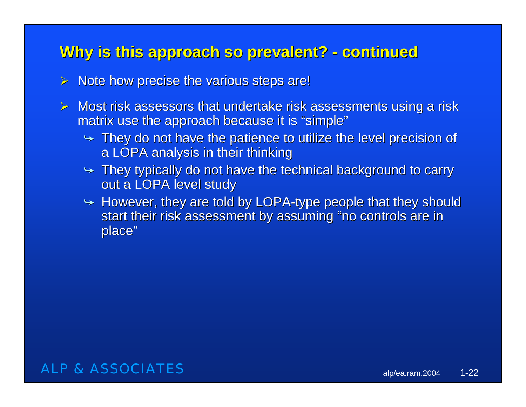# **Why is this approach so prevalent? - continued**

- $\triangleright$  Note how precise the various steps are!
- $\triangleright$  Most risk assessors that undertake risk assessments using a risk matrix use the approach because it is "simple"
	- $\rightarrow$  They do not have the patience to utilize the level precision of a LOPA analysis in their thinking
	- $\rightarrow$  They typically do not have the technical background to carry out a LOPA level study
	- $\rightarrow$  However, they are told by LOPA-type people that they should start their risk assessment by assuming "no controls are in place"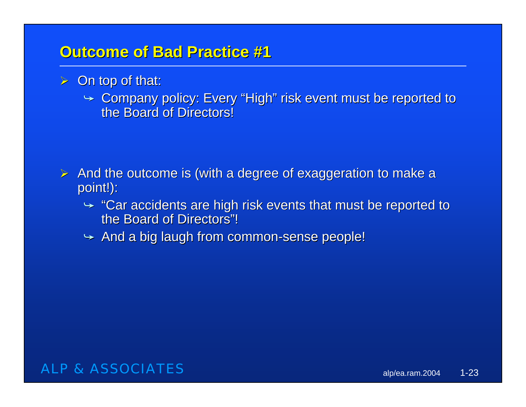### **Outcome of Bad Practice #1 Outcome of Bad Practice #1**

- $\triangleright$  On top of that:
	- $\rightarrow$  Company policy: Every "High" risk event must be reported to the Board of Directors!

- $\triangleright$  And the outcome is (with a degree of exaggeration to make a point!):
	- $\div$  "Car accidents are high risk events that must be reported to the Board of Directors"!
	- $\rightarrow$  And a big laugh from common-sense people!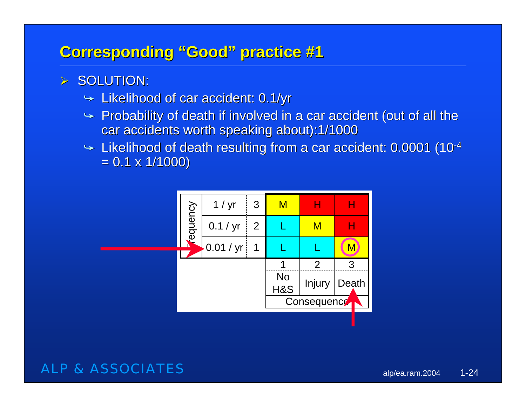# **Corresponding "Good" practice #1 Corresponding "Good" practice #1**

#### $\triangleright$  SOLUTION:

- $\blacktriangleright$  Likelihood of car accident: 0.1/yr
- $\rightarrow$  Probability of death if involved in a car accident (out of all the car accidents worth speaking about):1/1000
- $\blacktriangleright$  Likelihood of death resulting from a car accident: 0.0001 (10<sup>-4</sup>  $= 0.1 \times 1/1000$

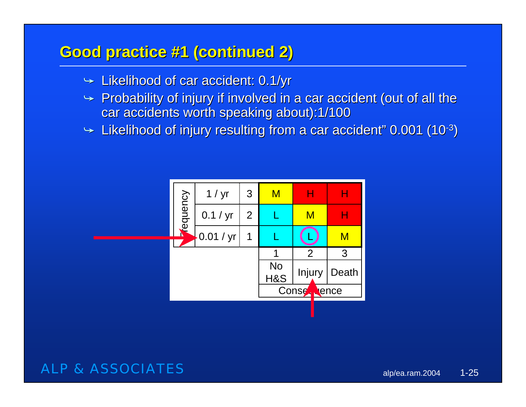# **Good practice #1 (continued 2) Good practice #1 (continued 2)**

- $\blacktriangleright$  Likelihood of car accident: 0.1/yr
- $\rightarrow$  Probability of injury if involved in a car accident (out of all the car accidents worth speaking about):1/100
- $\blacktriangleright$  Likelihood of injury resulting from a car accident" 0.001 (10<sup>-3</sup>)

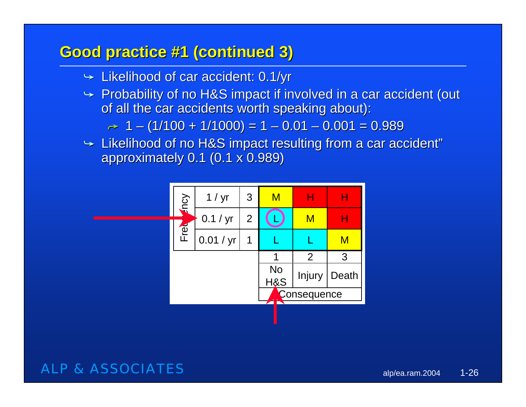### **Good practice #1 (continued 3) Good practice #1 (continued 3)**

- $\blacktriangleright$  Likelihood of car accident: 0.1/yr
- $\rightarrow$  Probability of no H&S impact if involved in a car accident (out of all the car accidents worth speaking about):

 $\rightarrow \,$  1 – (1/100 + 1/1000) = 1 – 0.01 – 0.001 = 0.989  $\,$ 

 $\blacktriangleright$  Likelihood of no H&S impact resulting from a car accident"  $\blacktriangleright$ approximately 0.1 (0.1 x 0.989) approximately 0.1 (0.1 x 0.989)

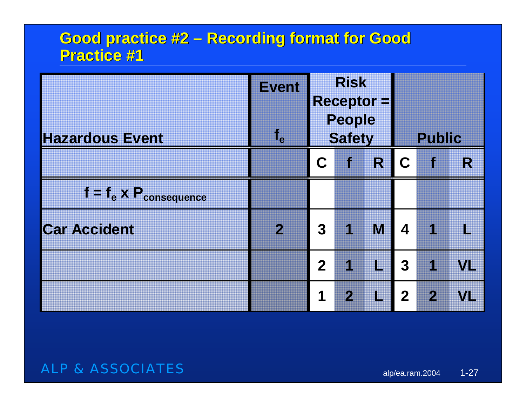# **Good practice #2 – Recording format for Good Practice #1 Practice #1**

|                                  | <b>Event</b><br>$f_e$ |                | <b>Risk</b><br><b>People</b> | $Receptor =$                          |                         | <b>Public</b>  |     |  |  |  |
|----------------------------------|-----------------------|----------------|------------------------------|---------------------------------------|-------------------------|----------------|-----|--|--|--|
| <b>Hazardous Event</b>           |                       |                | <b>Safety</b>                |                                       |                         |                |     |  |  |  |
|                                  |                       | C              | $\bullet$                    | R                                     | $\mathbf C$             | $\mathbf f$    | R   |  |  |  |
| $f = f_e \times P_{consequence}$ |                       |                |                              |                                       |                         |                |     |  |  |  |
| <b>Car Accident</b>              | $\mathbf{2}$          | $\overline{3}$ | $\overline{\mathbf{1}}$      | M                                     | 4                       | 1              |     |  |  |  |
|                                  |                       | $\overline{2}$ | $\overline{\mathcal{L}}$     | $\Box$                                | $\overline{\mathbf{3}}$ | 1              | VL. |  |  |  |
|                                  |                       | 1              | $\overline{2}$               | $\begin{array}{c} \hline \end{array}$ | $\overline{2}$          | $\overline{2}$ | VI. |  |  |  |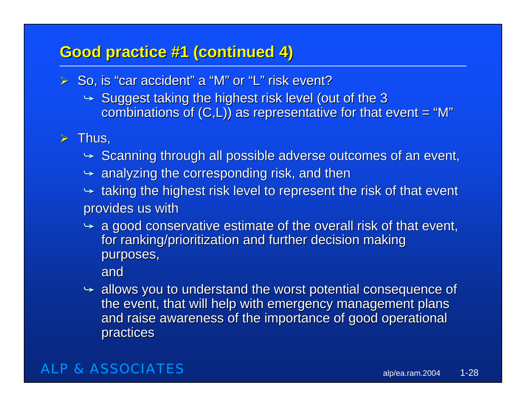### **Good practice #1 (continued 4) Good practice #1 (continued 4)**

- $\triangleright$  So, is "car accident" a "M" or "L" risk event?
	- $\blacktriangleright$  Suggest taking the highest risk level (out of the 3 combinations of  $(C,L)$ ) as representative for that event = "M"

#### $\triangleright$  Thus,

- $\blacktriangleright$  Scanning through all possible adverse outcomes of an event,
- $\blacktriangleright$  analyzing the corresponding risk, and then
- $\leftrightarrow$  taking the highest risk level to represent the risk of that event provides us with
- $\rightarrow$  a good conservative estimate of the overall risk of that event, for ranking/prioritization and further decision making purposes,

and

 $\rightarrow$  allows you to understand the worst potential consequence of the event, that will help with emergency management plans and raise awareness of the importance of good operational practices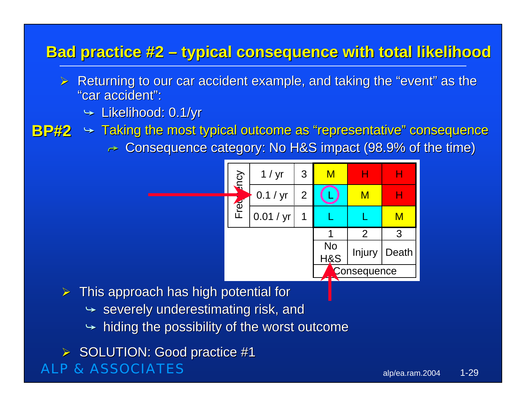# **Bad practice #2 – typical consequence with total likelihood**

- $\triangleright$  Returning to our car accident example, and taking the "event" as the "car accident":
	- $\blacktriangleright$  Likelihood: 0.1/yr
- 
- **BP#2**  $\rightarrow$  Taking the most typical outcome as "representative" consequence
	- $\bm{\rightarrow}$  Consequence category: No H&S impact (98.9% of the time)



 $\triangleright$  This approach has high potential for

- $\rightarrow \,$  severely underestimating risk, and
- $\rightarrow$  hiding the possibility of the worst outcome

ALP & ASSOCIATES▶ SOLUTION: Good practice #1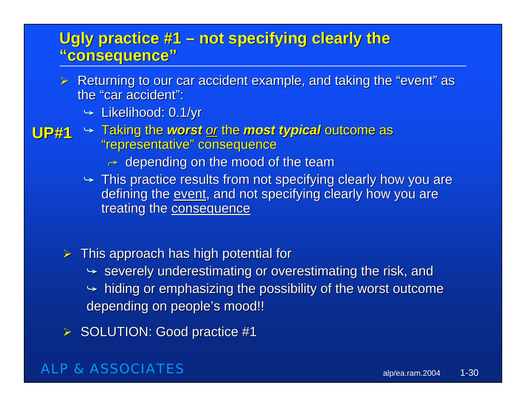# **Ugly practice #1 – not specifying clearly the "consequence" "consequence"**

- $\triangleright$  Returning to our car accident example, and taking the "event" as the "car accident":
	- $\blacktriangleright$  Likelihood: 0.1/yr
- **UP#1**  $\rightarrow$  Taking the *worst <u>or</u> the most typical* outcome as "representative" consequence
	- $\bm{\rightarrow}$  depending on the mood of the team
	- $\rightarrow$  This practice results from not specifying clearly how you are defining the event, and not specifying clearly how you are treating the consequence
	- $\triangleright$  This approach has high potential for
		- $\rightarrow$  severely underestimating or overestimating the risk, and
		- $\rightarrow$  hiding or emphasizing the possibility of the worst outcome depending on people's mood!!
	- $\triangleright$  SOLUTION: Good practice #1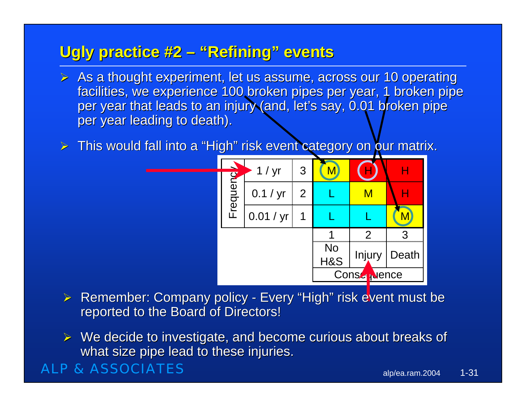# **Ugly practice #2 – "Refining" events**

- $\triangleright$  As a thought experiment, let us assume, across our 10 operating facilities, we experience 100 broken pipes per year, 1 broken pipe per year that leads to an injury (and, let's say, 0.01 broken pipe per year leading to death).
- $\triangleright$  This would fall into a "High" risk event category on our matrix.



- $\triangleright$  Remember: Company policy Every "High" risk event must be reported to the Board of Directors!
- $\triangleright$  We decide to investigate, and become curious about breaks of what size pipe lead to these injuries.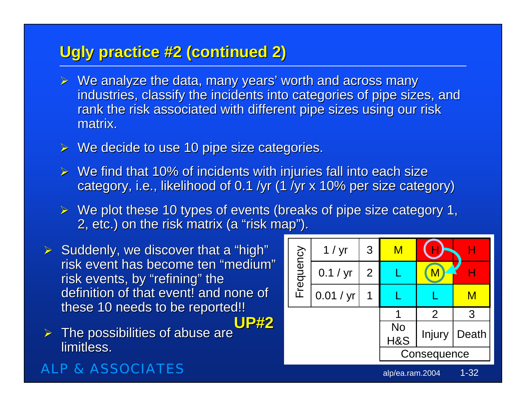# **Ugly practice #2 (continued 2)**

- $\triangleright$  We analyze the data, many years' worth and across many industries, classify the incidents into categories of pipe sizes, and rank the risk associated with different pipe sizes using our risk matrix.
- $\triangleright$  We decide to use 10 pipe size categories.
- $\triangleright$  We find that 10% of incidents with injuries fall into each size category, i.e., likelihood of 0.1 /yr (1 /yr x 10% per size category)
- $\triangleright$  We plot these 10 types of events (breaks of pipe size category 1, 2, etc.) on the risk matrix (a "risk map").

> Suddenly, we discover that a "high"<br>
risk event has become ten "medium"<br>
risk events, by "refining" the<br>
definition of that event! and none of these 10 needs to be reported!! **UP#2**

¾The possibilities of abuse are limitless.

# alp/ea.ram.2004 1-32  $1 / yr$  3 M  $(H)$  H  $0.1 / yr$  2 L  $(M)$  H  $0.01$  / yr  $1$  L L L M 123No H&S | Injury | Death **Consequence**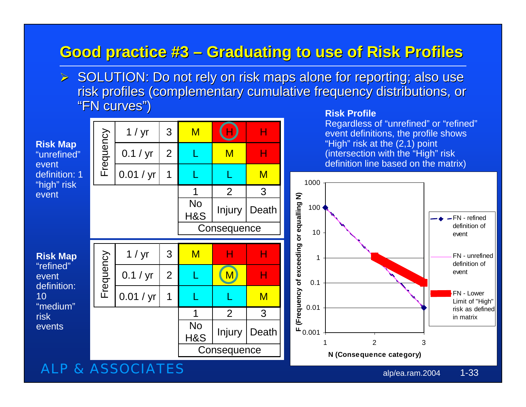#### **Good practice #3 –Graduating to use of Risk Profiles Graduating to use of Risk Profiles**

 $\triangleright$  SOLUTION: Do not rely on risk maps alone for reporting; also use risk profiles (complementary cumulative frequency distributions, or "FN curves") **Risk Profile**

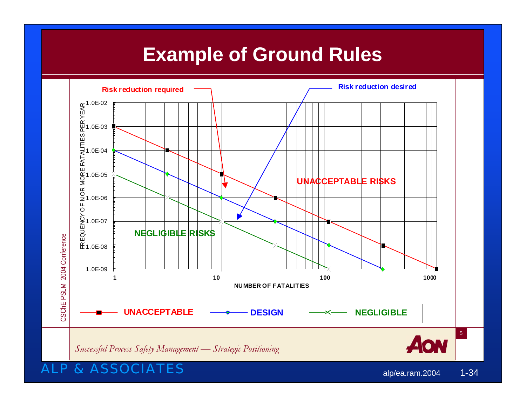# **Example of Ground Rules**

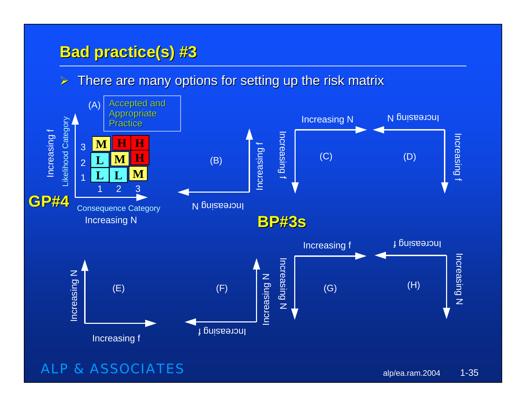# **Bad practice(s) #3 Bad practice(s) #3**

 $\blacktriangleright$ There are many options for setting up the risk matrix

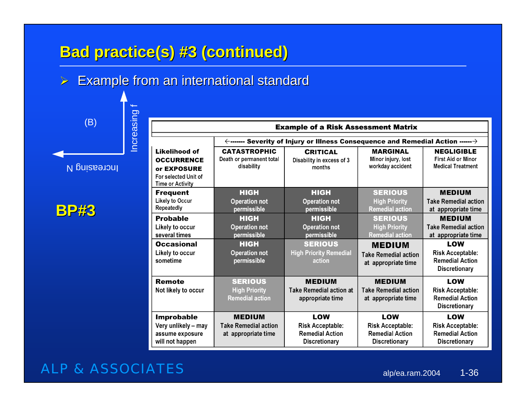# **Bad practice(s) #3 (continued)**

 $\triangleright$  Example from an international standard

(B)

Increasing f

Increasing f

Increasing N

|--|--|

|                                                                                               | <b>Example of a Risk Assessment Matrix</b>                          |                                                                                                         |                                                                                  |                                                                                  |  |  |  |  |  |  |  |  |
|-----------------------------------------------------------------------------------------------|---------------------------------------------------------------------|---------------------------------------------------------------------------------------------------------|----------------------------------------------------------------------------------|----------------------------------------------------------------------------------|--|--|--|--|--|--|--|--|
|                                                                                               |                                                                     | $\leftarrow$ ------- Severity of Injury or Illness Consequence and Remedial Action ------ $\rightarrow$ |                                                                                  |                                                                                  |  |  |  |  |  |  |  |  |
| Likelihood of<br><b>OCCURRENCE</b><br>or EXPOSURE<br>For selected Unit of<br>Time or Activity | <b>CATASTROPHIC</b><br>Death or permanent total<br>disability       | <b>CRITICAL</b><br>Disability in excess of 3<br>months                                                  | <b>MARGINAL</b><br>Minor injury, lost<br>workday accident                        | <b>NEGLIGIBLE</b><br><b>First Aid or Minor</b><br><b>Medical Treatment</b>       |  |  |  |  |  |  |  |  |
| <b>Frequent</b><br><b>Likely to Occur</b><br>Repeatedly                                       | <b>HIGH</b><br><b>Operation not</b><br>permissible                  | <b>HIGH</b><br><b>Operation not</b><br>permissible                                                      | <b>SERIOUS</b><br><b>High Priority</b><br><b>Remedial action</b>                 | <b>MEDIUM</b><br><b>Take Remedial action</b><br>at appropriate time              |  |  |  |  |  |  |  |  |
| <b>Probable</b><br>Likely to occur<br>several times                                           | <b>HIGH</b><br><b>Operation not</b><br>permissible                  | <b>HIGH</b><br><b>Operation not</b><br>permissible                                                      | <b>SERIOUS</b><br><b>High Priority</b><br><b>Remedial action</b>                 | <b>MEDIUM</b><br><b>Take Remedial action</b><br>at appropriate time              |  |  |  |  |  |  |  |  |
| <b>Occasional</b><br>Likely to occur<br>sometime                                              | HIGH<br><b>Operation not</b><br>permissible                         | <b>SERIOUS</b><br><b>High Priority Remedial</b><br>action                                               | <b>MEDIUM</b><br><b>Take Remedial action</b><br>at appropriate time              | LOW<br><b>Risk Acceptable:</b><br><b>Remedial Action</b><br><b>Discretionary</b> |  |  |  |  |  |  |  |  |
| <b>Remote</b><br>Not likely to occur                                                          | <b>SERIOUS</b><br><b>High Priority</b><br><b>Remedial action</b>    | <b>MEDIUM</b><br><b>Take Remedial action at</b><br>appropriate time                                     | <b>MEDIUM</b><br><b>Take Remedial action</b><br>at appropriate time              | LOW<br><b>Risk Acceptable:</b><br><b>Remedial Action</b><br><b>Discretionary</b> |  |  |  |  |  |  |  |  |
| <b>Improbable</b><br>Very unlikely - may<br>assume exposure<br>will not happen                | <b>MEDIUM</b><br><b>Take Remedial action</b><br>at appropriate time | LOW<br><b>Risk Acceptable:</b><br><b>Remedial Action</b><br><b>Discretionary</b>                        | LOW<br><b>Risk Acceptable:</b><br><b>Remedial Action</b><br><b>Discretionary</b> | LOW<br><b>Risk Acceptable:</b><br><b>Remedial Action</b><br><b>Discretionary</b> |  |  |  |  |  |  |  |  |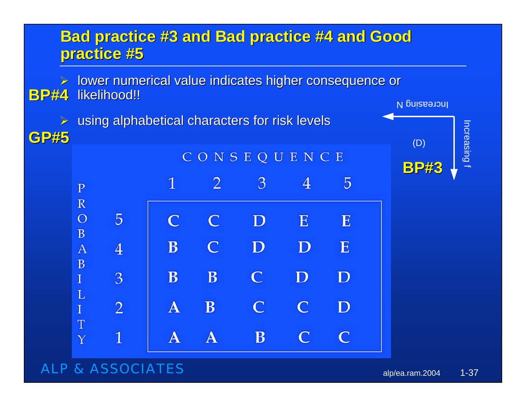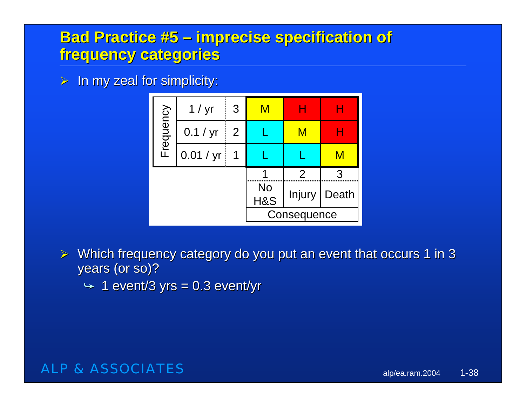# **Bad Practice #5 – imprecise specification of frequency categories frequency categories**

 $>$  In my zeal for simplicity:



- $\triangleright$  Which frequency category do you put an event that occurs 1 in 3 years (or so)?
	- $\rightarrow$  1 event/3 yrs = 0.3 event/yr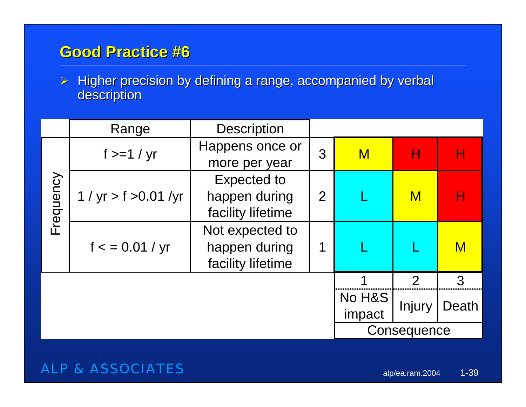# **Good Practice #6 Good Practice #6**

 $\triangleright$  Higher precision by defining a range, accompanied by verbal description description

|           | Range                    |                                                       |                  |                    |               |              |
|-----------|--------------------------|-------------------------------------------------------|------------------|--------------------|---------------|--------------|
|           | $f \geq -1$ / yr         | Happens once or<br>more per year                      | 3                | $\mathsf{M}% _{T}$ |               |              |
| Frequency | 1 / $yr > f > 0.01 / yr$ | Expected to<br>happen during<br>facility lifetime     | $\overline{2}$   |                    | $\mathbf M$   |              |
|           | f < 0.01 / yr            | Not expected to<br>happen during<br>facility lifetime | 1                |                    |               | $\mathsf{M}$ |
|           |                          |                                                       |                  | 4                  | $\mathcal{P}$ | 3            |
|           |                          |                                                       | No H&S<br>impact | Injury             | Death         |              |
|           |                          |                                                       |                  | Consequence        |               |              |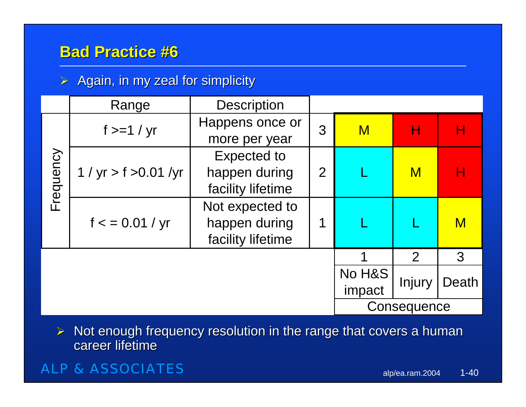# **Bad Practice #6 Bad Practice #6**

#### $\triangleright$  Again, in my zeal for simplicity

|           | Range                    | <b>Description</b> |                |                    |               |                                                                                                            |
|-----------|--------------------------|--------------------|----------------|--------------------|---------------|------------------------------------------------------------------------------------------------------------|
|           | $f \geq 1 / yr$          | Happens once or    | 3              | $\mathsf{M}% _{T}$ |               | Н                                                                                                          |
|           |                          | more per year      |                |                    |               |                                                                                                            |
|           |                          | <b>Expected to</b> |                |                    |               |                                                                                                            |
|           | 1 / $yr > f > 0.01 / yr$ | happen during      | $\overline{2}$ |                    | $\mathsf{M}$  | Н                                                                                                          |
| Frequency |                          | facility lifetime  |                |                    |               |                                                                                                            |
|           | f < 0.01 / yr            | Not expected to    |                |                    |               |                                                                                                            |
|           |                          | happen during      |                |                    |               | $\mathsf{M}% _{T}=\mathsf{M}_{T}\!\left( a,b\right) ,\ \mathsf{M}_{T}=\mathsf{M}_{T}\!\left( a,b\right) ,$ |
|           |                          | facility lifetime  |                |                    |               |                                                                                                            |
|           |                          |                    |                |                    | $\mathcal{P}$ | 3                                                                                                          |
|           |                          |                    | No H&S         |                    |               |                                                                                                            |
|           |                          |                    | impact         | Injury             | Death         |                                                                                                            |
|           |                          |                    |                | Consequence        |               |                                                                                                            |

¾Not enough frequency resolution in the range that covers a human career lifetime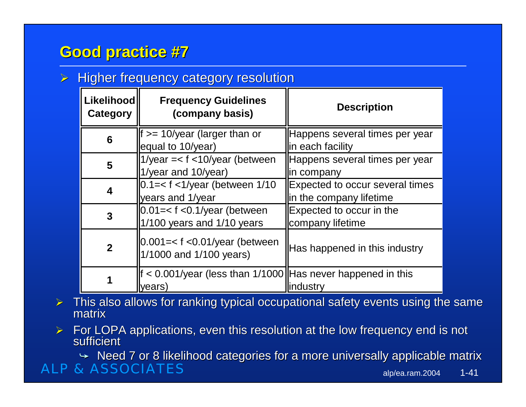# **Good practice #7 Good practice #7**

#### $\triangleright$  Higher frequency category resolution

| <b>Likelihood</b><br>Category | <b>Frequency Guidelines</b><br>(company basis)                             | <b>Description</b>                                                |
|-------------------------------|----------------------------------------------------------------------------|-------------------------------------------------------------------|
| 6                             | $f \geq 10$ /year (larger than or<br>equal to 10/year)                     | Happens several times per year<br>in each facility                |
| 5                             | 1/year = $<$ f $<$ 10/year (between<br>1/year and 10/year)                 | Happens several times per year<br>in company                      |
| 4                             | $0.1 = < f < 1$ /year (between 1/10<br>years and 1/year                    | <b>Expected to occur several times</b><br>in the company lifetime |
| 3                             | $0.01=<$ f <0.1/year (between<br>$1/100$ years and $1/10$ years            | Expected to occur in the<br>company lifetime                      |
| $\overline{2}$                | $ 0.001=<$ f <0.01/year (between<br>1/1000 and 1/100 years)                | Has happened in this industry                                     |
|                               | If $<$ 0.001/year (less than 1/1000   Has never happened in this<br>years) | industry                                                          |

- ¾This also allows for ranking typical occupational safety events using the same matrix
- $\blacktriangleright$ For LOPA applications, even this resolution at the low frequency end is not sufficient

 $\rightarrow$  Need 7 or 8 likelihood categories for a more universally applicable matrix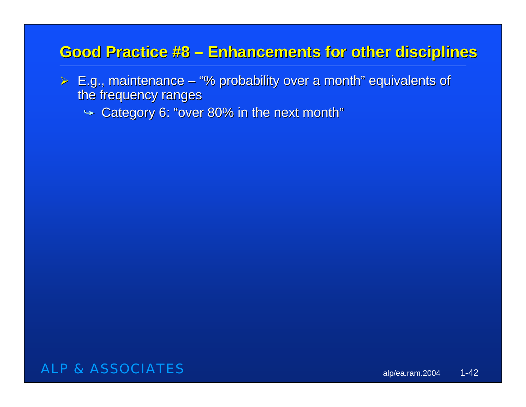# **Good Practice #8 – Enhancements for other disciplines**

- $\triangleright$  E.g., maintenance "% probability over a month" equivalents of the frequency ranges
	- $\blacktriangleright$  Category 6: "over 80% in the next month"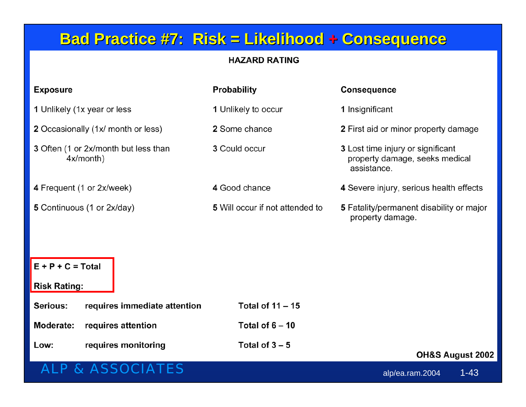# **Bad Practice #7: Risk = Likelihood + Consequence**

#### **HAZARD RATING**

| <b>Exposure</b>                                      | <b>Probability</b>              | <b>Consequence</b>                                                                 |  |  |  |  |  |  |  |  |  |
|------------------------------------------------------|---------------------------------|------------------------------------------------------------------------------------|--|--|--|--|--|--|--|--|--|
| 1 Unlikely (1x year or less                          | 1 Unlikely to occur             | 1 Insignificant                                                                    |  |  |  |  |  |  |  |  |  |
| 2 Occasionally (1x/ month or less)                   | 2 Some chance                   | 2 First aid or minor property damage                                               |  |  |  |  |  |  |  |  |  |
| 3 Often (1 or 2x/month but less than<br>$4x/m$ onth) | 3 Could occur                   | 3 Lost time injury or significant<br>property damage, seeks medical<br>assistance. |  |  |  |  |  |  |  |  |  |
| 4 Frequent (1 or 2x/week)                            | 4 Good chance                   | 4 Severe injury, serious health effects                                            |  |  |  |  |  |  |  |  |  |
| 5 Continuous (1 or 2x/day)                           | 5 Will occur if not attended to | 5 Fatality/permanent disability or major<br>property damage.                       |  |  |  |  |  |  |  |  |  |
|                                                      |                                 |                                                                                    |  |  |  |  |  |  |  |  |  |
| $E + P + C = Total$                                  |                                 |                                                                                    |  |  |  |  |  |  |  |  |  |
| <b>Risk Rating:</b>                                  |                                 |                                                                                    |  |  |  |  |  |  |  |  |  |
| requires immediate attention<br>Serious:             | Total of $11 - 15$              |                                                                                    |  |  |  |  |  |  |  |  |  |
| <b>Moderate:</b><br>requires attention               | Total of $6 - 10$               |                                                                                    |  |  |  |  |  |  |  |  |  |
| requires monitoring<br>Low:                          | Total of $3 - 5$                | OH&S August 2002                                                                   |  |  |  |  |  |  |  |  |  |
| <b>ALP &amp; ASSOCIATES</b>                          |                                 | $1 - 43$<br>alp/ea.ram.2004                                                        |  |  |  |  |  |  |  |  |  |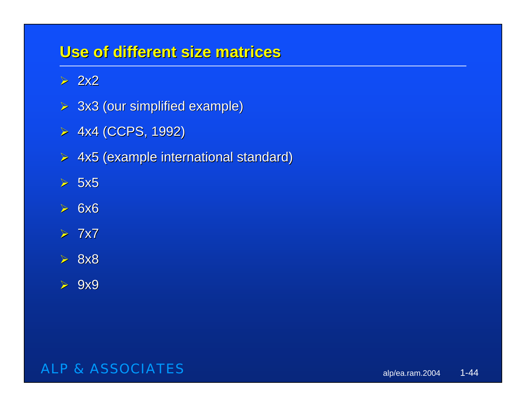### **Use of different size matrices Use of different size matrices**

 $> 2x2$ 

- $> 3x3$  (our simplified example)
- $> 4x4$  (CCPS, 1992)
- ¾ 4x5 (example international standard) 4x5 (example international standard)
- $> 5x5$
- $> 6x6$
- $> 7x7$
- ¾ 8x8
- $> 9x9$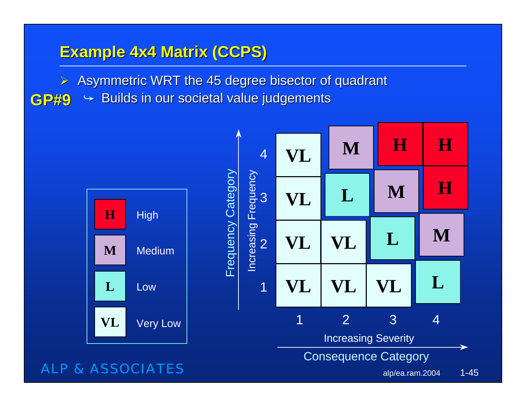# **Example 4x4 Matrix (CCPS) Example 4x4 Matrix (CCPS)**

**L**

**VL**

- $\triangleright$  Asymmetric WRT the 45 degree bisector of quadrant
- $\blacktriangleright$  Builds in our societal value judgements **GP#9**

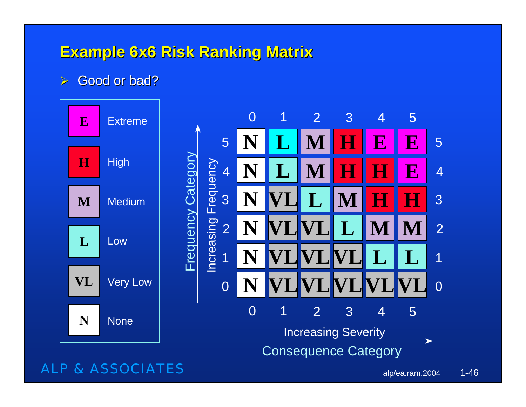### **Example 6x6 Risk Ranking Matrix**

#### $\triangleright$  Good or bad?

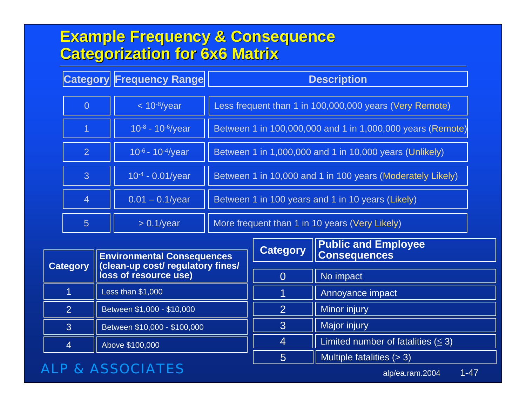# **Example Frequency & Consequence Example Frequency & Consequence Categorization for 6x6 Matrix Categorization for 6x6 Matrix**

|                 | <b>Category Frequency Range</b> | <b>Description</b>                                         |
|-----------------|---------------------------------|------------------------------------------------------------|
| $\overline{0}$  | $< 10^{-8}/year$                | Less frequent than 1 in 100,000,000 years (Very Remote)    |
|                 | $10^{-8} - 10^{-6}$ /year       | Between 1 in 100,000,000 and 1 in 1,000,000 years (Remote) |
| $\overline{2}$  | $10^{-6} - 10^{-4}$ /year       | Between 1 in 1,000,000 and 1 in 10,000 years (Unlikely)    |
| $\mathbf{3}$    | 10-4 - 0.01/year                | Between 1 in 10,000 and 1 in 100 years (Moderately Likely) |
| $\overline{4}$  | $0.01 - 0.1$ /year              | Between 1 in 100 years and 1 in 10 years (Likely)          |
| $5\overline{)}$ | $> 0.1$ /year                   | More frequent than 1 in 10 years (Very Likely)             |

|                 |                                   |                 | <b>Public and Employee</b>              |
|-----------------|-----------------------------------|-----------------|-----------------------------------------|
|                 | <b>Environmental Consequences</b> | <b>Category</b> | <b>Consequences</b>                     |
| <b>Category</b> | (clean-up cost/ regulatory fines/ |                 |                                         |
|                 | loss of resource use)             | O               | No impact                               |
|                 | Less than \$1,000                 |                 | Annoyance impact                        |
| $\overline{2}$  | Between \$1,000 - \$10,000        |                 | Minor injury                            |
| 3               | Between \$10,000 - \$100,000      |                 | Major injury                            |
| 4               | Above \$100,000                   |                 | Limited number of fatalities $(\leq 3)$ |
|                 |                                   | 5               | Multiple fatalities $(> 3)$             |

#### ALP & ASSOCIATES

alp/ea.ram.2004 1-47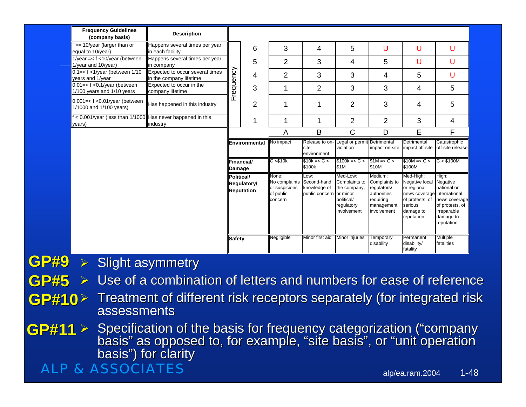|             | <b>Frequency Guidelines</b><br>(company basis)                          | <b>Description</b>                                                                                                                                         |                                                                                      |               |                                                                 |                                                       |                                                                                                  |                                                                                                  |                                                                                                                                    |                                                                                                                |
|-------------|-------------------------------------------------------------------------|------------------------------------------------------------------------------------------------------------------------------------------------------------|--------------------------------------------------------------------------------------|---------------|-----------------------------------------------------------------|-------------------------------------------------------|--------------------------------------------------------------------------------------------------|--------------------------------------------------------------------------------------------------|------------------------------------------------------------------------------------------------------------------------------------|----------------------------------------------------------------------------------------------------------------|
|             | $f \geq 10$ /year (larger than or<br>equal to 10/year)                  | Happens several times per year<br>in each facility                                                                                                         |                                                                                      | 6             | 3                                                               | 4                                                     | 5                                                                                                | U                                                                                                | U                                                                                                                                  | U                                                                                                              |
|             | 1/year = $<$ f $<$ 10/year (between<br>1/year and 10/year)              | Happens several times per year<br>in company                                                                                                               |                                                                                      | 5             | $\overline{2}$                                                  | 3                                                     | 4                                                                                                | 5                                                                                                | U                                                                                                                                  | U                                                                                                              |
|             | $0.1 = < f$ < 1/year (between 1/10<br>years and 1/year                  | Expected to occur several times<br>in the company lifetime                                                                                                 |                                                                                      | 4             | 2                                                               | 3                                                     | 3                                                                                                | 4                                                                                                | 5                                                                                                                                  | U                                                                                                              |
|             | $0.01 = < f < 0.1$ /year (between<br>1/100 years and 1/10 years         | Expected to occur in the<br>company lifetime                                                                                                               | Frequency                                                                            | 3             | 1                                                               | $\overline{2}$                                        | 3                                                                                                | 3                                                                                                | 4                                                                                                                                  | 5                                                                                                              |
|             | $0.001 = < f < 0.01$ /year (between<br>1/1000 and 1/100 years)          | Has happened in this industry                                                                                                                              |                                                                                      | 2             | 1                                                               | 1                                                     | 2                                                                                                | 3                                                                                                | 4                                                                                                                                  | 5                                                                                                              |
|             | $f$ < 0.001/year (less than 1/1000 Has never happened in this<br>years) | industry                                                                                                                                                   |                                                                                      | 1             | 1                                                               | 1                                                     | 2                                                                                                | 2                                                                                                | 3                                                                                                                                  | 4                                                                                                              |
|             |                                                                         |                                                                                                                                                            |                                                                                      |               | Α                                                               | B                                                     | C                                                                                                | D                                                                                                | E                                                                                                                                  | F                                                                                                              |
|             |                                                                         |                                                                                                                                                            |                                                                                      | Environmental | No impact                                                       | Release to on-<br>site<br>environment                 | Legal or permit Detrimental<br>violation                                                         |                                                                                                  | Detrimental<br>impact on-site impact off-site                                                                                      | Catastrophic<br>off-site release                                                                               |
|             |                                                                         |                                                                                                                                                            | Financial/<br><b>Damage</b><br><b>Political/</b><br>Regulatory/<br><b>Reputation</b> |               | C < \$10k                                                       | $$10k = < C <$<br>\$100k                              | $$100k = < C <$   \$1M = < C <<br>\$1M                                                           | \$10M                                                                                            | $$10M = < C <$<br>\$100M                                                                                                           | C > \$100M                                                                                                     |
|             |                                                                         |                                                                                                                                                            |                                                                                      |               | None:<br>No complaints<br>or suspicions<br>of public<br>concern | Low:<br>Second-hand<br>knowledge of<br>public concern | Med-Low:<br>Complaints to<br>the company,<br>or minor<br>political/<br>regulatory<br>involvement | Medium:<br>Complaints to<br>regulators/<br>authorities<br>requiring<br>management<br>involvement | Med-High:<br>Negative local<br>or regional<br>news coverage international<br>of protests, of<br>serious<br>damage to<br>reputation | High:<br>Negative<br>national or<br>news coverage<br>of protests, of<br>irreparable<br>damage to<br>reputation |
|             |                                                                         |                                                                                                                                                            | <b>Safety</b>                                                                        |               | Negligible                                                      | Minor first aid                                       | <b>Minor injuries</b>                                                                            | Temporary<br>disability                                                                          | Permanent<br>disability/<br>fatality                                                                                               | <b>Multiple</b><br>fatalities                                                                                  |
| GP#9 >      |                                                                         | <b>Slight asymmetry</b>                                                                                                                                    |                                                                                      |               |                                                                 |                                                       |                                                                                                  |                                                                                                  |                                                                                                                                    |                                                                                                                |
| <b>GP#5</b> |                                                                         | Use of a combination of letters and numbers for ease of reference                                                                                          |                                                                                      |               |                                                                 |                                                       |                                                                                                  |                                                                                                  |                                                                                                                                    |                                                                                                                |
|             |                                                                         |                                                                                                                                                            |                                                                                      |               |                                                                 |                                                       |                                                                                                  |                                                                                                  |                                                                                                                                    |                                                                                                                |
| GP#10>      | assessments                                                             | Treatment of different risk receptors separately (for integrated risk                                                                                      |                                                                                      |               |                                                                 |                                                       |                                                                                                  |                                                                                                  |                                                                                                                                    |                                                                                                                |
| GP#11       | basis") for clarity                                                     | $\triangleright$ Specification of the basis for frequency categorization ("company"<br>basis" as opposed to, for example, "site basis", or "unit operation |                                                                                      |               |                                                                 |                                                       |                                                                                                  |                                                                                                  |                                                                                                                                    |                                                                                                                |
|             | <b><i>R. ASSOCIA</i></b>                                                |                                                                                                                                                            |                                                                                      |               |                                                                 |                                                       |                                                                                                  |                                                                                                  | alp/oa ram 2004                                                                                                                    | 1.48                                                                                                           |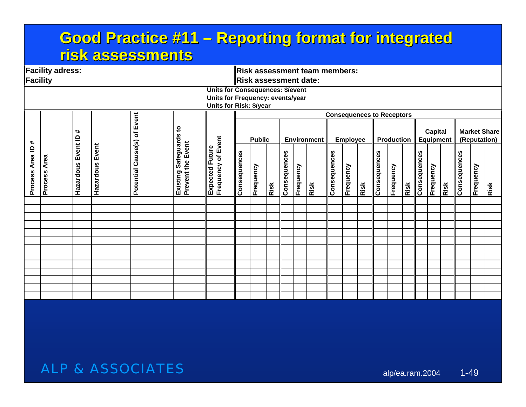### **Good Practice #11 – Reporting format for integrated risk assessments risk assessments**

|                    | <b>Facility adress:</b> |                       |                    |                    |                                             |                                         |              |                       |      |              |           | <b>Risk assessment team members:</b> |              |                 |      |                                  |                   |      |              |                             |      |              |              |                     |
|--------------------|-------------------------|-----------------------|--------------------|--------------------|---------------------------------------------|-----------------------------------------|--------------|-----------------------|------|--------------|-----------|--------------------------------------|--------------|-----------------|------|----------------------------------|-------------------|------|--------------|-----------------------------|------|--------------|--------------|---------------------|
| <b>Facility</b>    |                         |                       |                    |                    |                                             |                                         |              | Risk assessment date: |      |              |           |                                      |              |                 |      |                                  |                   |      |              |                             |      |              |              |                     |
|                    |                         |                       |                    |                    |                                             | <b>Units for Consequences: \$/event</b> |              |                       |      |              |           |                                      |              |                 |      |                                  |                   |      |              |                             |      |              |              |                     |
|                    |                         |                       |                    |                    |                                             | Units for Frequency: events/year        |              |                       |      |              |           |                                      |              |                 |      |                                  |                   |      |              |                             |      |              |              |                     |
|                    |                         |                       |                    |                    |                                             | Units for Risk: \$/year                 |              |                       |      |              |           |                                      |              |                 |      |                                  |                   |      |              |                             |      |              |              |                     |
|                    |                         |                       |                    |                    |                                             |                                         |              |                       |      |              |           |                                      |              |                 |      | <b>Consequences to Receptors</b> |                   |      |              |                             |      |              |              |                     |
| #                  |                         | #                     |                    | of Event           | $\mathbf{c}$                                |                                         |              | <b>Public</b>         |      |              |           | <b>Environment</b>                   |              | <b>Employee</b> |      |                                  | <b>Production</b> |      |              | <b>Capital</b><br>Equipment |      |              | (Reputation) | <b>Market Share</b> |
| Area ID<br>Process | Process Area            | Event ID<br>Hazardous | Event<br>Hazardous | Potential Cause(s) | Safeguards<br>Prevent the Event<br>Existing | Expected Future<br>Frequency of Event   | Consequences | Frequency             | Risk | Consequences | Frequency | Risk                                 | Consequences | Frequency       | Risk | Consequences                     | Frequency         | Risk | Consequences | Frequency                   | Risk | Consequences | Frequency    | Risk                |
|                    |                         |                       |                    |                    |                                             |                                         |              |                       |      |              |           |                                      |              |                 |      |                                  |                   |      |              |                             |      |              |              |                     |
|                    |                         |                       |                    |                    |                                             |                                         |              |                       |      |              |           |                                      |              |                 |      |                                  |                   |      |              |                             |      |              |              |                     |
|                    |                         |                       |                    |                    |                                             |                                         |              |                       |      |              |           |                                      |              |                 |      |                                  |                   |      |              |                             |      |              |              |                     |
|                    |                         |                       |                    |                    |                                             |                                         |              |                       |      |              |           |                                      |              |                 |      |                                  |                   |      |              |                             |      |              |              |                     |
|                    |                         |                       |                    |                    |                                             |                                         |              |                       |      |              |           |                                      |              |                 |      |                                  |                   |      |              |                             |      |              |              |                     |
|                    |                         |                       |                    |                    |                                             |                                         |              |                       |      |              |           |                                      |              |                 |      |                                  |                   |      |              |                             |      |              |              |                     |
|                    |                         |                       |                    |                    |                                             |                                         |              |                       |      |              |           |                                      |              |                 |      |                                  |                   |      |              |                             |      |              |              |                     |
|                    |                         |                       |                    |                    |                                             |                                         |              |                       |      |              |           |                                      |              |                 |      |                                  |                   |      |              |                             |      |              |              |                     |
|                    |                         |                       |                    |                    |                                             |                                         |              |                       |      |              |           |                                      |              |                 |      |                                  |                   |      |              |                             |      |              |              |                     |
|                    |                         |                       |                    |                    |                                             |                                         |              |                       |      |              |           |                                      |              |                 |      |                                  |                   |      |              |                             |      |              |              |                     |
|                    |                         |                       |                    |                    |                                             |                                         |              |                       |      |              |           |                                      |              |                 |      |                                  |                   |      |              |                             |      |              |              |                     |
|                    |                         |                       |                    |                    |                                             |                                         |              |                       |      |              |           |                                      |              |                 |      |                                  |                   |      |              |                             |      |              |              |                     |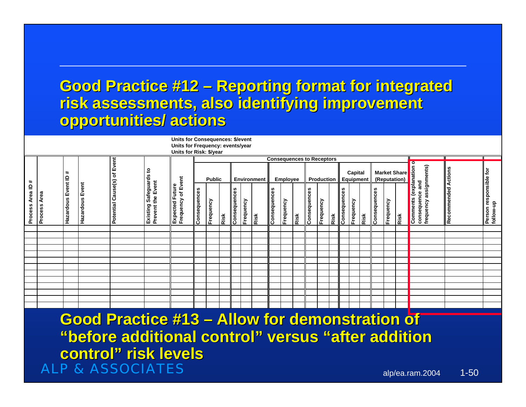# **Good Practice #12 – Reporting format for integrated risk assessments, also identifying improvement risk assessments, also identifying improvement opportunities/ actions opportunities/ actions**

|                                                                                                                                            | Units for Consequences: \$/event |                                 |                 |                                |                                             |                                                 |               |           |      |              |           |      |                 |           |      |              |           |      |                             |           |                                     |              |           |                      |                                                                           |                            |  |                                     |
|--------------------------------------------------------------------------------------------------------------------------------------------|----------------------------------|---------------------------------|-----------------|--------------------------------|---------------------------------------------|-------------------------------------------------|---------------|-----------|------|--------------|-----------|------|-----------------|-----------|------|--------------|-----------|------|-----------------------------|-----------|-------------------------------------|--------------|-----------|----------------------|---------------------------------------------------------------------------|----------------------------|--|-------------------------------------|
| Units for Frequency: events/year<br>Units for Risk: \$/year                                                                                |                                  |                                 |                 |                                |                                             |                                                 |               |           |      |              |           |      |                 |           |      |              |           |      |                             |           |                                     |              |           |                      |                                                                           |                            |  |                                     |
| <b>Consequences to Receptors</b>                                                                                                           |                                  |                                 |                 |                                |                                             |                                                 |               |           |      |              |           |      |                 |           |      |              |           |      |                             |           |                                     |              |           |                      |                                                                           |                            |  |                                     |
| ∗<br>Area ID<br>Process                                                                                                                    | Area<br>Process                  | $\ddot{}$<br>Hazardous Event ID | Hazardous Event | Event<br>Potential Cause(s) of | Existing Safeguards to<br>Prevent the Event | of Event<br><b>Expected Future</b><br>Frequency | <b>Public</b> |           |      | Environment  |           |      | <b>Employee</b> |           |      | Production   |           |      | Capital<br><b>Equipment</b> |           | <b>Market Share</b><br>(Reputation) |              |           | $\overline{\bullet}$ |                                                                           |                            |  |                                     |
|                                                                                                                                            |                                  |                                 |                 |                                |                                             |                                                 | Consequences  | Frequency | Risk | Consequences | Frequency | Risk | Consequences    | Frequency | Risk | Consequences | Frequency | Risk | <b>Consequences</b>         | Frequency | Risk                                | Consequences | Frequency | Risk                 | frequency assignments)<br><b>Comments (explanation</b><br>consequence and | <b>Recommended Actions</b> |  | Person responsible for<br>follow-up |
|                                                                                                                                            |                                  |                                 |                 |                                |                                             |                                                 |               |           |      |              |           |      |                 |           |      |              |           |      |                             |           |                                     |              |           |                      |                                                                           |                            |  |                                     |
|                                                                                                                                            |                                  |                                 |                 |                                |                                             |                                                 |               |           |      |              |           |      |                 |           |      |              |           |      |                             |           |                                     |              |           |                      |                                                                           |                            |  |                                     |
|                                                                                                                                            |                                  |                                 |                 |                                |                                             |                                                 |               |           |      |              |           |      |                 |           |      |              |           |      |                             |           |                                     |              |           |                      |                                                                           |                            |  |                                     |
|                                                                                                                                            |                                  |                                 |                 |                                |                                             |                                                 |               |           |      |              |           |      |                 |           |      |              |           |      |                             |           |                                     |              |           |                      |                                                                           |                            |  |                                     |
|                                                                                                                                            |                                  |                                 |                 |                                |                                             |                                                 |               |           |      |              |           |      |                 |           |      |              |           |      |                             |           |                                     |              |           |                      |                                                                           |                            |  |                                     |
|                                                                                                                                            |                                  |                                 |                 |                                |                                             |                                                 |               |           |      |              |           |      |                 |           |      |              |           |      |                             |           |                                     |              |           |                      |                                                                           |                            |  |                                     |
|                                                                                                                                            |                                  |                                 |                 |                                |                                             |                                                 |               |           |      |              |           |      |                 |           |      |              |           |      |                             |           |                                     |              |           |                      |                                                                           |                            |  |                                     |
|                                                                                                                                            |                                  |                                 |                 |                                |                                             |                                                 |               |           |      |              |           |      |                 |           |      |              |           |      |                             |           |                                     |              |           |                      |                                                                           |                            |  |                                     |
|                                                                                                                                            |                                  |                                 |                 |                                |                                             |                                                 |               |           |      |              |           |      |                 |           |      |              |           |      |                             |           |                                     |              |           |                      |                                                                           |                            |  |                                     |
|                                                                                                                                            |                                  |                                 |                 |                                |                                             |                                                 |               |           |      |              |           |      |                 |           |      |              |           |      |                             |           |                                     |              |           |                      |                                                                           |                            |  |                                     |
|                                                                                                                                            |                                  |                                 |                 |                                |                                             |                                                 |               |           |      |              |           |      |                 |           |      |              |           |      |                             |           |                                     |              |           |                      |                                                                           |                            |  |                                     |
| <b>Good Practice #13 - Allow for demonstration of</b><br>"before additional control" versus "after addition<br><b>control" risk levels</b> |                                  |                                 |                 |                                |                                             |                                                 |               |           |      |              |           |      |                 |           |      |              |           |      |                             |           |                                     |              |           |                      |                                                                           |                            |  |                                     |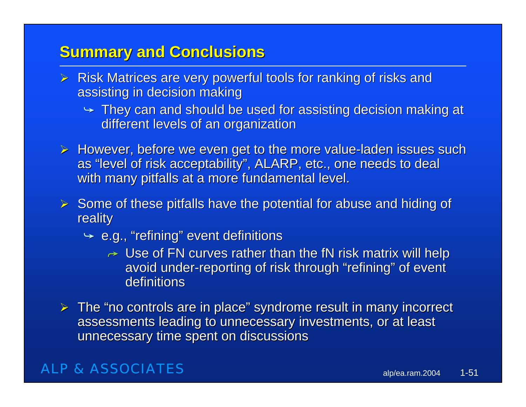### **Summary and Conclusions**

- $\triangleright$  Risk Matrices are very powerful tools for ranking of risks and assisting in decision making
	- $\rightarrow$  They can and should be used for assisting decision making at different levels of an organization
- $\triangleright$  However, before we even get to the more value-laden issues such as "level of risk acceptability", ALARP, etc., one needs to deal with many pitfalls at a more fundamental level.
- $\triangleright$  Some of these pitfalls have the potential for abuse and hiding of reality
	- $\div$  e.g., "refining" event definitions
		- $\rightarrow\,$  Use of FN curves rather than the fN risk matrix will help avoid under-reporting of risk through "refining" of event definitions
- $\triangleright$  The "no controls are in place" syndrome result in many incorrect assessments leading to unnecessary investments, or at least unnecessary time spent on discussions